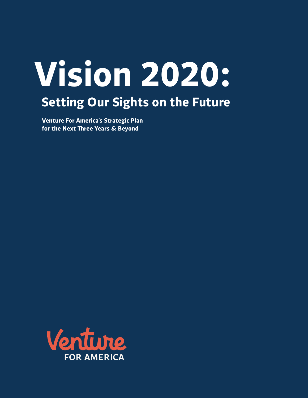# **Vision 2020: Setting Our Sights on the Future**

**Venture For America's Strategic Plan for the Next !ree Years & Beyond**

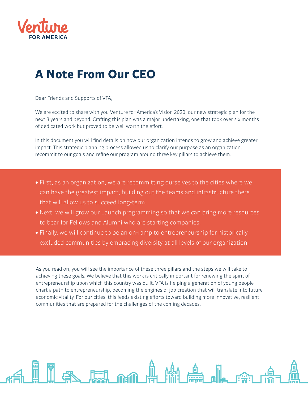

### **A Note From Our CEO**

Dear Friends and Supports of VFA,

We are excited to share with you Venture for America's Vision 2020, our new strategic plan for the next 3 years and beyond. Crafting this plan was a major undertaking, one that took over six months of dedicated work but proved to be well worth the effort.

In this document you will find details on how our organization intends to grow and achieve greater impact. This strategic planning process allowed us to clarify our purpose as an organization, recommit to our goals and refine our program around three key pillars to achieve them.

- First, as an organization, we are recommitting ourselves to the cities where we can have the greatest impact, building out the teams and infrastructure there that will allow us to succeed long-term.
- Next, we will grow our Launch programming so that we can bring more resources to bear for Fellows and Alumni who are starting companies.
- Finally, we will continue to be an on-ramp to entrepreneurship for historically excluded communities by embracing diversity at all levels of our organization.

As you read on, you will see the importance of these three pillars and the steps we will take to achieving these goals. We believe that this work is critically important for renewing the spirit of entrepreneurship upon which this country was built. VFA is helping a generation of young people chart a path to entrepreneurship, becoming the engines of job creation that will translate into future economic vitality. For our cities, this feeds existing efforts toward building more innovative, resilient communities that are prepared for the challenges of the coming decades.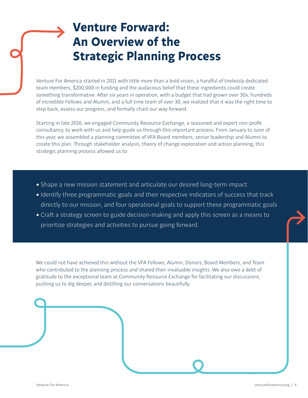### **Venture Forward: An Overview of the Strategic Planning Process**

Venture For America started in 2011 with little more than a bold vision, a handful of tirelessly dedicated team members, \$200,000 in funding and the audacious belief that these ingredients could create something transformative. After six years in operation, with a budget that had grown over 30x, hundreds of incredible Fellows and Alumni, and a full time team of over 30, we realized that it was the right time to step back, assess our progress, and formally chart our way forward.

Starting in late 2016, we engaged Community Resource Exchange, a seasoned and expert non-profit consultancy, to work with us and help guide us through this important process. From January to June of this year, we assembled a planning committee of VFA Board members, senior leadership and Alumni to create this plan. Through stakeholder analysis, theory of change exploration and action planning, this strategic planning process allowed us to:

- Shape a new mission statement and articulate our desired long-term impact
- Identify three programmatic goals and their respective indicators of success that track directly to our mission, and four operational goals to support these programmatic goals
- Craft a strategy screen to guide decision-making and apply this screen as a means to prioritize strategies and activities to pursue going forward.

We could not have achieved this without the VFA Fellows, Alumni, Donors, Board Members, and Team who contributed to the planning process and shared their invaluable insights. We also owe a debt of gratitude to the exceptional team at Community Resource Exchange for facilitating our discussions, pushing us to dig deeper, and distilling our conversations beautifully.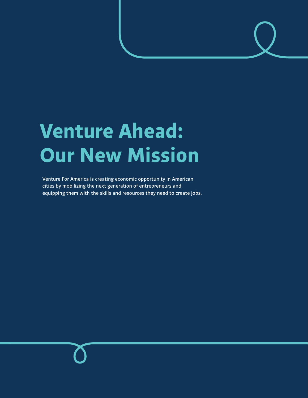## **Venture Ahead: Our New Mission**

Venture For America is creating economic opportunity in American cities by mobilizing the next generation of entrepreneurs and equipping them with the skills and resources they need to create jobs.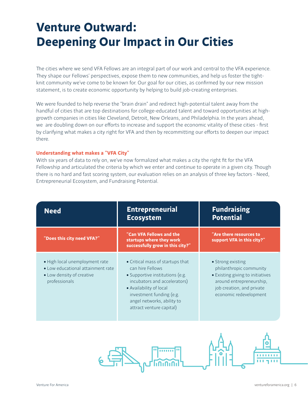### **Venture Outward: Deepening Our Impact in Our Cities**

The cities where we send VFA Fellows are an integral part of our work and central to the VFA experience. They shape our Fellows' perspectives, expose them to new communities, and help us foster the tightknit community we've come to be known for. Our goal for our cities, as confirmed by our new mission statement, is to create economic opportunity by helping to build job-creating enterprises.

We were founded to help reverse the "brain drain" and redirect high-potential talent away from the handful of cities that are top destinations for college-educated talent and toward opportunities at highgrowth companies in cities like Cleveland, Detroit, New Orleans, and Philadelphia. In the years ahead, we are doubling down on our efforts to increase and support the economic vitality of these cities - first by clarifying what makes a city right for VFA and then by recommitting our efforts to deepen our impact there.

#### **Understanding what makes a "VFA City"**

With six years of data to rely on, we've now formalized what makes a city the right fit for the VFA Fellowship and articulated the criteria by which we enter and continue to operate in a given city. Though there is no hard and fast scoring system, our evaluation relies on an analysis of three key factors - Need, Entrepreneurial Ecosystem, and Fundraising Potential.

| <b>Need</b>                                                                                                       | <b>Entrepreneurial</b><br><b>Ecosystem</b>                                                                                                                                                                                               | <b>Fundraising</b><br><b>Potential</b>                                                                                                                              |
|-------------------------------------------------------------------------------------------------------------------|------------------------------------------------------------------------------------------------------------------------------------------------------------------------------------------------------------------------------------------|---------------------------------------------------------------------------------------------------------------------------------------------------------------------|
| "Does this city need VFA?"                                                                                        | "Can VFA Fellows and the<br>startups where they work<br>successfully grow in this city?"                                                                                                                                                 | "Are there resources to<br>support VFA in this city?"                                                                                                               |
| · High local unemployment rate<br>• Low educational attainment rate<br>• Low density of creative<br>professionals | • Critical mass of startups that<br>can hire Fellows<br>• Supportive institutions (e.g.<br>incubators and accelerators)<br>• Availability of local<br>investment funding (e.g.<br>angel networks, ability to<br>attract venture capital) | • Strong existing<br>philanthropic community<br>• Existing giving to initiatives<br>around entrepreneurship,<br>job creation, and private<br>economic redevelopment |

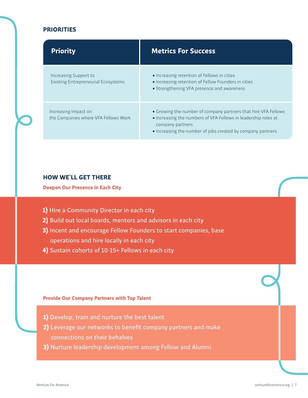#### **PRIORITIES**

| <b>Priority</b>                                                     | <b>Metrics For Success</b>                                                                                                                                                                                          |
|---------------------------------------------------------------------|---------------------------------------------------------------------------------------------------------------------------------------------------------------------------------------------------------------------|
| Increasing Support to<br><b>Existing Entrepreneurial Ecosystems</b> | • Increasing retention of Fellows in cities<br>• Increasing retention of Fellow Founders in cities<br>• Strengthening VFA presence and awareness                                                                    |
| Increasing Impact on<br>the Companies where VFA Fellows Work        | • Growing the number of company partners that hire VFA Fellows<br>• Increasing the numbers of VFA Fellows in leadership roles at<br>company partners<br>• Increasing the number of jobs created by company partners |

#### **HOW WE'LL GET THERE**

**Deepen Our Presence in Each City**

- **1)** Hire a Community Director in each city
- **2)** Build out local boards, mentors and advisors in each city
- **3)** Incent and encourage Fellow Founders to start companies, base operations and hire locally in each city
- **4)** Sustain cohorts of 10-15+ Fellows in each city

#### **Provide Our Company Partners with Top Talent**

- **1)** Develop, train and nurture the best talent
- 2) Leverage our networks to benefit company partners and make connections on their behalves
- **3)** Nurture leadership development among Fellow and Alumni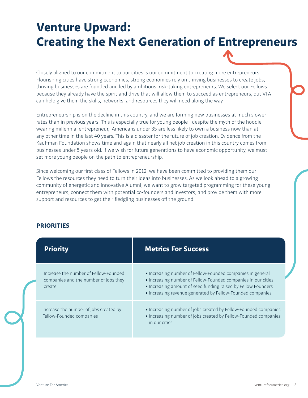### **Venture Upward: Creating the Next Generation of Entrepreneurs**

Closely aligned to our commitment to our cities is our commitment to creating more entrepreneurs Flourishing cities have strong economies; strong economies rely on thriving businesses to create jobs; thriving businesses are founded and led by ambitious, risk-taking entrepreneurs. We select our Fellows because they already have the spirit and drive that will allow them to succeed as entrepreneurs, but VFA can help give them the skills, networks, and resources they will need along the way.

Entrepreneurship is on the decline in this country, and we are forming new businesses at much slower rates than in previous years. This is especially true for young people - despite the myth of the hoodiewearing millennial entrepreneur, Americans under 35 are less likely to own a business now than at any other time in the last 40 years. This is a disaster for the future of job creation. Evidence from the Kauffman Foundation shows time and again that nearly all net job creation in this country comes from businesses under 5 years old. If we wish for future generations to have economic opportunity, we must set more young people on the path to entrepreneurship.

Since welcoming our first class of Fellows in 2012, we have been committed to providing them our Fellows the resources they need to turn their ideas into businesses. As we look ahead to a growing community of energetic and innovative Alumni, we want to grow targeted programming for these young entrepreneurs, connect them with potential co-founders and investors, and provide them with more support and resources to get their fledgling businesses off the ground.

#### **PRIORITIES**

| <b>Priority</b>                                                                          | <b>Metrics For Success</b>                                                                                                                                                                                                                                 |
|------------------------------------------------------------------------------------------|------------------------------------------------------------------------------------------------------------------------------------------------------------------------------------------------------------------------------------------------------------|
| Increase the number of Fellow-Founded<br>companies and the number of jobs they<br>create | • Increasing number of Fellow-Founded companies in general<br>. Increasing number of Fellow-Founded companies in our cities<br>• Increasing amount of seed funding raised by Fellow Founders<br>• Increasing revenue generated by Fellow-Founded companies |
| Increase the number of jobs created by<br>Fellow-Founded companies                       | • Increasing number of jobs created by Fellow-Founded companies<br>• Increasing number of jobs created by Fellow-Founded companies<br>in our cities                                                                                                        |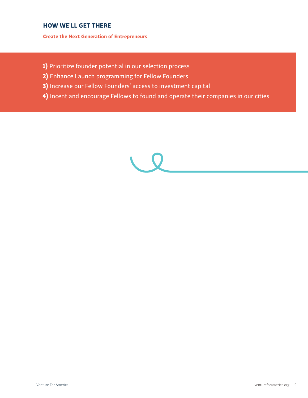#### **HOW WE'LL GET THERE**

**Create the Next Generation of Entrepreneurs**

- **1)** Prioritize founder potential in our selection process
- **2)** Enhance Launch programming for Fellow Founders
- **3)** Increase our Fellow Founders' access to investment capital
- **4)** Incent and encourage Fellows to found and operate their companies in our cities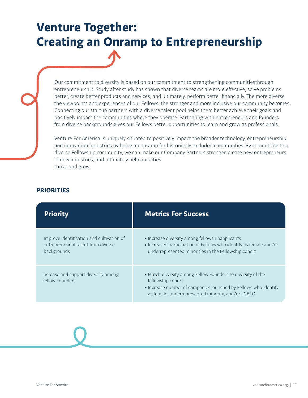### **Venture Together: Creating an Onramp to Entrepreneurship**

Our commitment to diversity is based on our commitment to strengthening communitiesthrough entrepreneurship. Study after study has shown that diverse teams are more effective, solve problems better, create better products and services, and ultimately, perform better financially. The more diverse the viewpoints and experiences of our Fellows, the stronger and more inclusive our community becomes. Connecting our startup partners with a diverse talent pool helps them better achieve their goals and positively impact the communities where they operate. Partnering with entrepreneurs and founders from diverse backgrounds gives our Fellows better opportunities to learn and grow as professionals.

Venture For America is uniquely situated to positively impact the broader technology, entrepreneurship and innovation industries by being an onramp for historically excluded communities. By committing to a diverse Fellowship community, we can make our Company Partners stronger, create new entrepreneurs in new industries, and ultimately help our cities thrive and grow.

#### **PRIORITIES**

| <b>Priority</b>                                                                                 | <b>Metrics For Success</b>                                                                                                                                                                                |
|-------------------------------------------------------------------------------------------------|-----------------------------------------------------------------------------------------------------------------------------------------------------------------------------------------------------------|
| Improve identification and cultivation of<br>entrepreneurial talent from diverse<br>backgrounds | • Increase diversity among fellowshipapplicants<br>. Increased participation of Fellows who identify as female and/or<br>underrepresented minorities in the Fellowship cohort                             |
| Increase and support diversity among<br>Fellow Founders                                         | • Match diversity among Fellow Founders to diversity of the<br>fellowship cohort<br>• Increase number of companies launched by Fellows who identify<br>as female, underrepresented minority, and/or LGBTQ |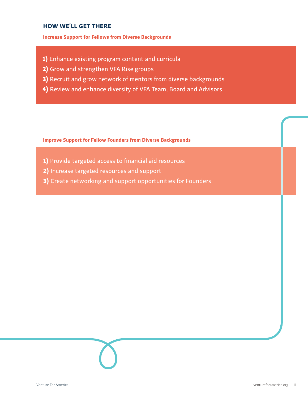#### **HOW WE'LL GET THERE**

#### **Increase Support for Fellows from Diverse Backgrounds**

- **1)** Enhance existing program content and curricula
- **2)** Grow and strengthen VFA Rise groups
- **3)** Recruit and grow network of mentors from diverse backgrounds
- **4)** Review and enhance diversity of VFA Team, Board and Advisors

**Improve Support for Fellow Founders from Diverse Backgrounds**

- 1) Provide targeted access to financial aid resources
- **2)** Increase targeted resources and support
- **3)** Create networking and support opportunities for Founders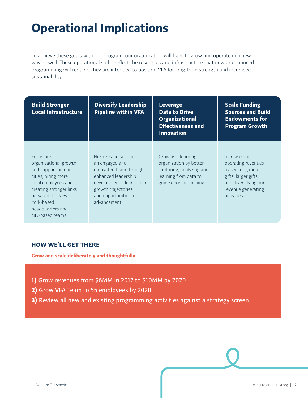### **Operational Implications**

To achieve these goals with our program, our organization will have to grow and operate in a new way as well. These operational shifts reflect the resources and infrastructure that new or enhanced programming will require. They are intended to position VFA for long-term strength and increased sustainability.

| <b>Build Stronger</b><br><b>Local Infrastructure</b>                                                                                                                                                       | <b>Diversify Leadership</b><br><b>Pipeline within VFA</b>                                                                                                                          | <b>Leverage</b><br><b>Data to Drive</b><br><b>Organizational</b><br><b>Effectiveness and</b><br><b>Innovation</b>          | <b>Scale Funding</b><br><b>Sources and Build</b><br><b>Endowments for</b><br><b>Program Growth</b>                                        |
|------------------------------------------------------------------------------------------------------------------------------------------------------------------------------------------------------------|------------------------------------------------------------------------------------------------------------------------------------------------------------------------------------|----------------------------------------------------------------------------------------------------------------------------|-------------------------------------------------------------------------------------------------------------------------------------------|
| Focus our<br>organizational growth<br>and support on our<br>cities, hiring more<br>local employees and<br>creating stronger links<br>between the New<br>York-based<br>headquarters and<br>city-based teams | Nurture and sustain<br>an engaged and<br>motivated team through<br>enhanced leadership<br>development, clear career<br>growth trajectories<br>and opportunities for<br>advancement | Grow as a learning<br>organization by better<br>capturing, analyzing and<br>learning from data to<br>guide decision-making | Increase our<br>operating revenues<br>by securing more<br>gifts, larger gifts<br>and diversifying our<br>revenue generating<br>activities |

#### **HOW WE'LL GET THERE**

**Grow and scale deliberately and thoughtfully**

- **1)** Grow revenues from \$6MM in 2017 to \$10MM by 2020
- **2)** Grow VFA Team to 55 employees by 2020
- **3)** Review all new and existing programming activities against a strategy screen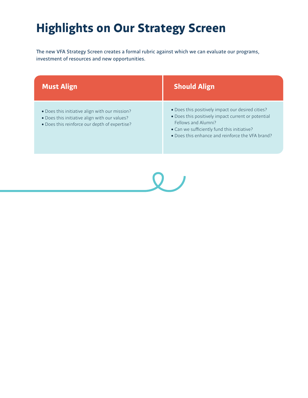### **Highlights on Our Strategy Screen**

The new VFA Strategy Screen creates a formal rubric against which we can evaluate our programs, investment of resources and new opportunities.

| <b>Must Align</b>                                                                                                                                | <b>Should Align</b>                                                                                                                                                                                                               |
|--------------------------------------------------------------------------------------------------------------------------------------------------|-----------------------------------------------------------------------------------------------------------------------------------------------------------------------------------------------------------------------------------|
| • Does this initiative align with our mission?<br>. Does this initiative align with our values?<br>. Does this reinforce our depth of expertise? | . Does this positively impact our desired cities?<br>. Does this positively impact current or potential<br>Fellows and Alumni?<br>• Can we sufficiently fund this initiative?<br>• Does this enhance and reinforce the VFA brand? |

 $\overline{Q}$